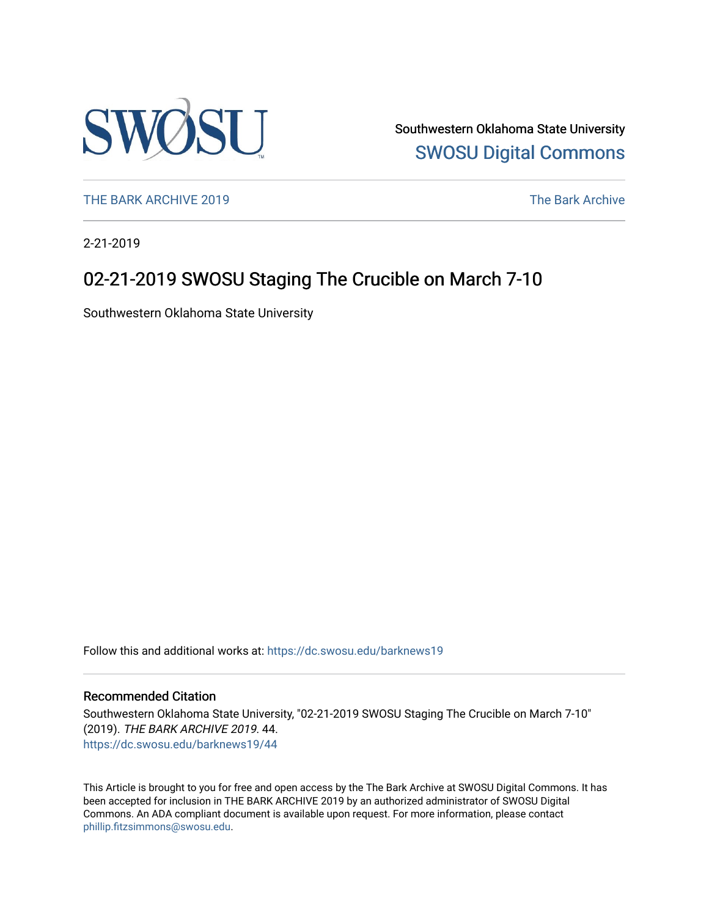

Southwestern Oklahoma State University [SWOSU Digital Commons](https://dc.swosu.edu/) 

[THE BARK ARCHIVE 2019](https://dc.swosu.edu/barknews19) The Bark Archive

2-21-2019

# 02-21-2019 SWOSU Staging The Crucible on March 7-10

Southwestern Oklahoma State University

Follow this and additional works at: [https://dc.swosu.edu/barknews19](https://dc.swosu.edu/barknews19?utm_source=dc.swosu.edu%2Fbarknews19%2F44&utm_medium=PDF&utm_campaign=PDFCoverPages)

#### Recommended Citation

Southwestern Oklahoma State University, "02-21-2019 SWOSU Staging The Crucible on March 7-10" (2019). THE BARK ARCHIVE 2019. 44. [https://dc.swosu.edu/barknews19/44](https://dc.swosu.edu/barknews19/44?utm_source=dc.swosu.edu%2Fbarknews19%2F44&utm_medium=PDF&utm_campaign=PDFCoverPages) 

This Article is brought to you for free and open access by the The Bark Archive at SWOSU Digital Commons. It has been accepted for inclusion in THE BARK ARCHIVE 2019 by an authorized administrator of SWOSU Digital Commons. An ADA compliant document is available upon request. For more information, please contact [phillip.fitzsimmons@swosu.edu](mailto:phillip.fitzsimmons@swosu.edu).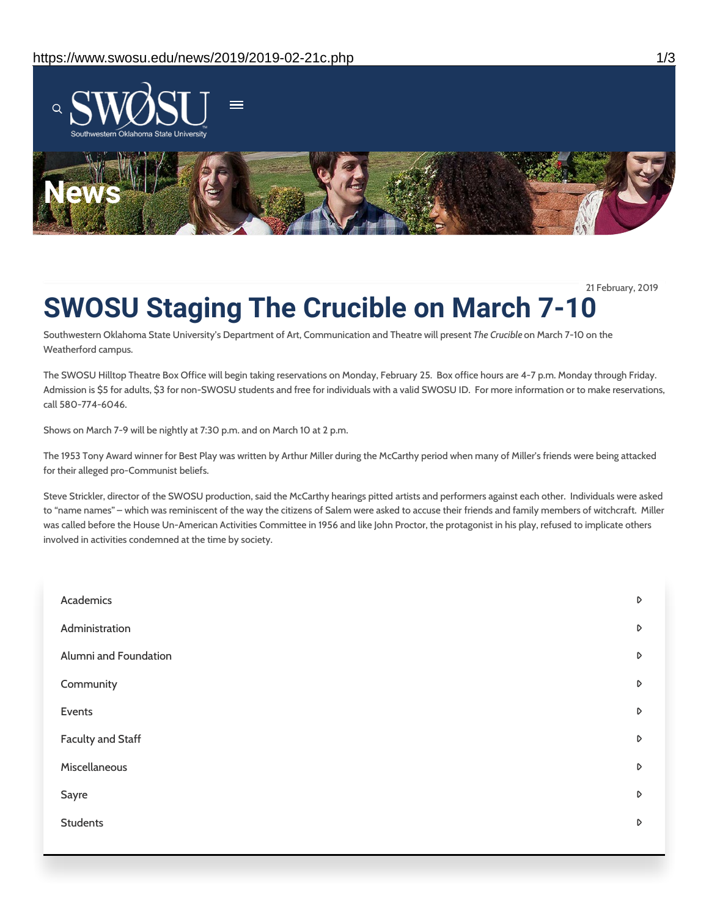

21 February, 2019

# **SWOSU Staging The Crucible on March 7-10**

Southwestern Oklahoma State University's Department of Art, Communication and Theatre will present *The Crucible* on March 7-10 on the Weatherford campus.

The SWOSU Hilltop Theatre Box Office will begin taking reservations on Monday, February 25. Box office hours are 4-7 p.m. Monday through Friday. Admission is \$5 for adults, \$3 for non-SWOSU students and free for individuals with a valid SWOSU ID. For more information or to make reservations, call 580-774-6046.

Shows on March 7-9 will be nightly at 7:30 p.m. and on March 10 at 2 p.m.

The 1953 Tony Award winner for Best Play was written by Arthur Miller during the McCarthy period when many of Miller's friends were being attacked for their alleged pro-Communist beliefs.

Steve Strickler, director of the SWOSU production, said the McCarthy hearings pitted artists and performers against each other. Individuals were asked to "name names" – which was reminiscent of the way the citizens of Salem were asked to accuse their friends and family members of witchcraft. Miller was called before the House Un-American Activities Committee in 1956 and like John Proctor, the protagonist in his play, refused to implicate others involved in activities condemned at the time by society.

| Academics             | D                |
|-----------------------|------------------|
| Administration        | D                |
| Alumni and Foundation | $\triangleright$ |
| Community             | D                |
| Events                | D                |
| Faculty and Staff     | D                |
| Miscellaneous         | D                |
| Sayre                 | $\triangleright$ |
| <b>Students</b>       | D                |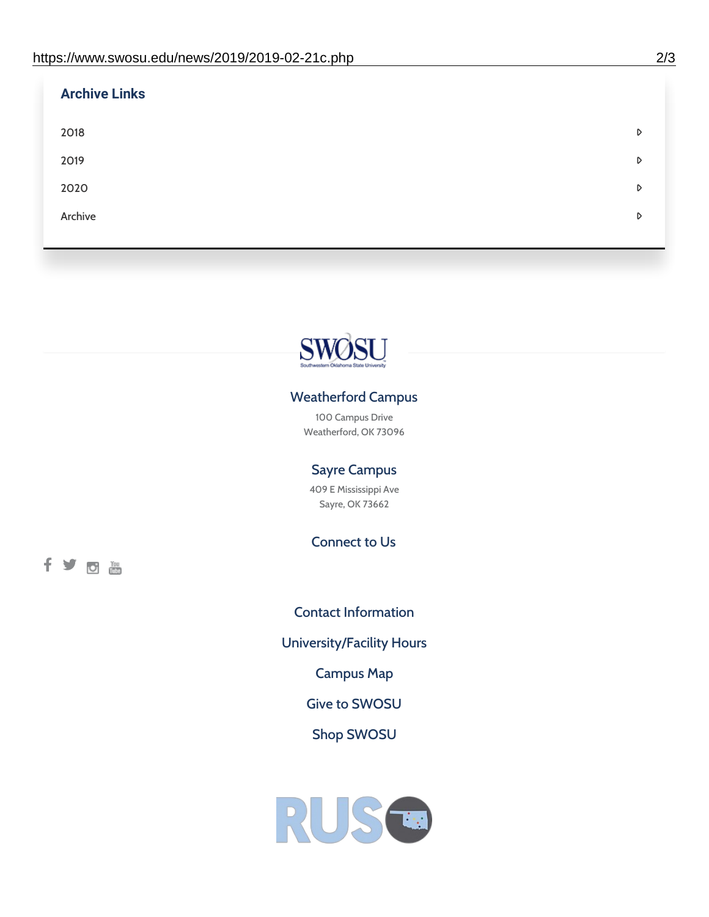| <b>Archive Links</b> |   |
|----------------------|---|
| 2018                 | D |
| 2019                 | D |
| 2020                 | D |
| Archive              | D |
|                      |   |



## Weatherford Campus

100 Campus Drive Weatherford, OK 73096

### Sayre Campus

409 E Mississippi Ave Sayre, OK 73662

Connect to Us

fyom

Contact [Information](https://www.swosu.edu/about/contact.php) [University/Facility](https://www.swosu.edu/about/operating-hours.php) Hours [Campus](https://map.concept3d.com/?id=768#!ct/10964,10214,10213,10212,10205,10204,10203,10202,10136,10129,10128,0,31226,10130,10201,10641,0) Map Give to [SWOSU](https://standingfirmly.com/donate) Shop [SWOSU](https://shopswosu.merchorders.com/)